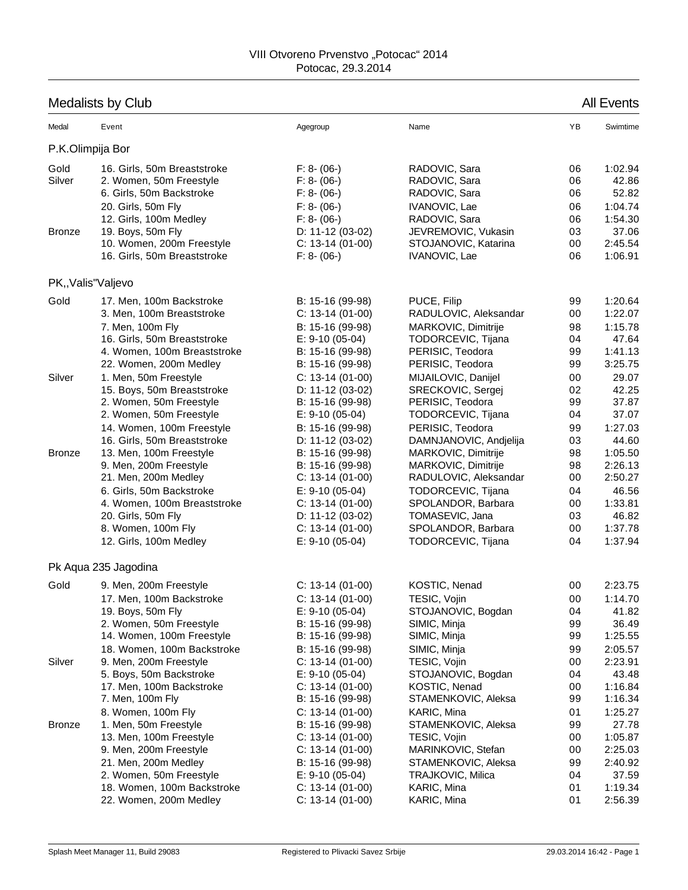## Medalists by Club All Events

| Medal                           | Event                                                                                                                                                   | Agegroup                                                                                         | Name                                                                                                     | YB                               | Swimtime                                                 |
|---------------------------------|---------------------------------------------------------------------------------------------------------------------------------------------------------|--------------------------------------------------------------------------------------------------|----------------------------------------------------------------------------------------------------------|----------------------------------|----------------------------------------------------------|
|                                 | P.K.Olimpija Bor                                                                                                                                        |                                                                                                  |                                                                                                          |                                  |                                                          |
| Gold<br>Silver<br><b>Bronze</b> | 16. Girls, 50m Breaststroke<br>2. Women, 50m Freestyle<br>6. Girls, 50m Backstroke<br>20. Girls, 50m Fly<br>12. Girls, 100m Medley<br>19. Boys, 50m Fly | $F: 8-(06-)$<br>$F: 8-(06-)$<br>$F: 8-(06-)$<br>$F: 8-(06-)$<br>$F: 8-(06-)$<br>D: 11-12 (03-02) | RADOVIC, Sara<br>RADOVIC, Sara<br>RADOVIC, Sara<br>IVANOVIC, Lae<br>RADOVIC, Sara<br>JEVREMOVIC, Vukasin | 06<br>06<br>06<br>06<br>06<br>03 | 1:02.94<br>42.86<br>52.82<br>1:04.74<br>1:54.30<br>37.06 |
|                                 | 10. Women, 200m Freestyle                                                                                                                               | $C: 13-14(01-00)$                                                                                | STOJANOVIC, Katarina                                                                                     | 00                               | 2:45.54                                                  |
|                                 | 16. Girls, 50m Breaststroke                                                                                                                             | $F: 8-(06-)$                                                                                     | IVANOVIC, Lae                                                                                            | 06                               | 1:06.91                                                  |
|                                 | PK,, Valis" Valjevo                                                                                                                                     |                                                                                                  |                                                                                                          |                                  |                                                          |
| Gold                            | 17. Men, 100m Backstroke                                                                                                                                | B: 15-16 (99-98)                                                                                 | PUCE, Filip                                                                                              | 99                               | 1:20.64                                                  |
|                                 | 3. Men, 100m Breaststroke                                                                                                                               | $C: 13-14(01-00)$                                                                                | RADULOVIC, Aleksandar                                                                                    | 00                               | 1:22.07                                                  |
|                                 | 7. Men, 100m Fly                                                                                                                                        | B: 15-16 (99-98)                                                                                 | MARKOVIC, Dimitrije                                                                                      | 98                               | 1:15.78                                                  |
|                                 | 16. Girls, 50m Breaststroke                                                                                                                             | $E: 9-10(05-04)$                                                                                 | TODORCEVIC, Tijana                                                                                       | 04                               | 47.64                                                    |
|                                 | 4. Women, 100m Breaststroke                                                                                                                             | B: 15-16 (99-98)                                                                                 | PERISIC, Teodora                                                                                         | 99                               | 1:41.13                                                  |
|                                 | 22. Women, 200m Medley                                                                                                                                  | B: 15-16 (99-98)                                                                                 | PERISIC, Teodora                                                                                         | 99                               | 3:25.75                                                  |
| Silver                          | 1. Men, 50m Freestyle                                                                                                                                   | $C: 13-14(01-00)$                                                                                | MIJAILOVIC, Danijel                                                                                      | 00                               | 29.07                                                    |
|                                 | 15. Boys, 50m Breaststroke                                                                                                                              | D: 11-12 (03-02)                                                                                 | SRECKOVIC, Sergej                                                                                        | 02                               | 42.25                                                    |
|                                 | 2. Women, 50m Freestyle                                                                                                                                 | B: 15-16 (99-98)                                                                                 | PERISIC, Teodora                                                                                         | 99                               | 37.87                                                    |
|                                 | 2. Women, 50m Freestyle                                                                                                                                 | $E: 9-10(05-04)$                                                                                 | TODORCEVIC, Tijana                                                                                       | 04                               | 37.07                                                    |
|                                 | 14. Women, 100m Freestyle                                                                                                                               | B: 15-16 (99-98)                                                                                 | PERISIC, Teodora                                                                                         | 99                               | 1:27.03                                                  |
|                                 | 16. Girls, 50m Breaststroke                                                                                                                             | D: 11-12 (03-02)                                                                                 | DAMNJANOVIC, Andjelija                                                                                   | 03                               | 44.60                                                    |
| <b>Bronze</b>                   | 13. Men, 100m Freestyle                                                                                                                                 | B: 15-16 (99-98)                                                                                 | MARKOVIC, Dimitrije                                                                                      | 98                               | 1:05.50                                                  |
|                                 | 9. Men, 200m Freestyle                                                                                                                                  | B: 15-16 (99-98)                                                                                 | MARKOVIC, Dimitrije                                                                                      | 98                               | 2:26.13                                                  |
|                                 | 21. Men, 200m Medley                                                                                                                                    | $C: 13-14(01-00)$                                                                                | RADULOVIC, Aleksandar                                                                                    | 00                               | 2:50.27                                                  |
|                                 | 6. Girls, 50m Backstroke                                                                                                                                | $E: 9-10(05-04)$                                                                                 | TODORCEVIC, Tijana                                                                                       | 04                               | 46.56                                                    |
|                                 | 4. Women, 100m Breaststroke                                                                                                                             | $C: 13-14(01-00)$                                                                                | SPOLANDOR, Barbara                                                                                       | 00                               | 1:33.81                                                  |
|                                 | 20. Girls, 50m Fly                                                                                                                                      | D: 11-12 (03-02)                                                                                 | TOMASEVIC, Jana                                                                                          | 03                               | 46.82                                                    |
|                                 | 8. Women, 100m Fly                                                                                                                                      | $C: 13-14(01-00)$                                                                                | SPOLANDOR, Barbara                                                                                       | 00                               | 1:37.78                                                  |
|                                 | 12. Girls, 100m Medley                                                                                                                                  | $E: 9-10(05-04)$                                                                                 | TODORCEVIC, Tijana                                                                                       | 04                               | 1:37.94                                                  |
|                                 | Pk Aqua 235 Jagodina                                                                                                                                    |                                                                                                  |                                                                                                          |                                  |                                                          |
| Gold                            | 9. Men, 200m Freestyle                                                                                                                                  | $C: 13-14(01-00)$                                                                                | KOSTIC, Nenad                                                                                            | 00                               | 2:23.75                                                  |
|                                 | 17. Men, 100m Backstroke                                                                                                                                | $C: 13-14(01-00)$                                                                                | TESIC, Vojin                                                                                             | 00                               | 1:14.70                                                  |
|                                 | 19. Boys, 50m Fly                                                                                                                                       | $E: 9-10(05-04)$                                                                                 | STOJANOVIC, Bogdan                                                                                       | 04                               | 41.82                                                    |
|                                 | 2. Women, 50m Freestyle                                                                                                                                 | B: 15-16 (99-98)                                                                                 | SIMIC, Minja                                                                                             | 99                               | 36.49                                                    |
|                                 | 14. Women, 100m Freestyle                                                                                                                               | B: 15-16 (99-98)                                                                                 | SIMIC, Minja                                                                                             | 99                               | 1:25.55                                                  |
|                                 | 18. Women, 100m Backstroke                                                                                                                              | B: 15-16 (99-98)                                                                                 | SIMIC, Minja                                                                                             | 99                               | 2:05.57                                                  |
| Silver                          | 9. Men, 200m Freestyle                                                                                                                                  | $C: 13-14(01-00)$                                                                                | TESIC, Vojin                                                                                             | 00                               | 2:23.91                                                  |
|                                 | 5. Boys, 50m Backstroke                                                                                                                                 | $E: 9-10(05-04)$                                                                                 | STOJANOVIC, Bogdan                                                                                       | 04                               | 43.48                                                    |
|                                 | 17. Men, 100m Backstroke                                                                                                                                | $C: 13-14(01-00)$                                                                                | KOSTIC, Nenad                                                                                            | 00                               | 1:16.84                                                  |
|                                 | 7. Men, 100m Fly                                                                                                                                        | B: 15-16 (99-98)                                                                                 | STAMENKOVIC, Aleksa                                                                                      | 99                               | 1:16.34                                                  |
|                                 | 8. Women, 100m Fly                                                                                                                                      | $C: 13-14(01-00)$                                                                                | KARIC, Mina                                                                                              | 01                               | 1:25.27                                                  |
| <b>Bronze</b>                   | 1. Men, 50m Freestyle                                                                                                                                   | B: 15-16 (99-98)                                                                                 | STAMENKOVIC, Aleksa                                                                                      | 99                               | 27.78                                                    |
|                                 | 13. Men, 100m Freestyle                                                                                                                                 | $C: 13-14(01-00)$                                                                                | TESIC, Vojin                                                                                             | 00                               | 1:05.87                                                  |
|                                 | 9. Men, 200m Freestyle                                                                                                                                  | $C: 13-14(01-00)$                                                                                | MARINKOVIC, Stefan                                                                                       | 00                               | 2:25.03                                                  |
|                                 | 21. Men, 200m Medley                                                                                                                                    | B: 15-16 (99-98)                                                                                 | STAMENKOVIC, Aleksa                                                                                      | 99                               | 2:40.92                                                  |
|                                 | 2. Women, 50m Freestyle                                                                                                                                 | $E: 9-10(05-04)$                                                                                 | TRAJKOVIC, Milica                                                                                        | 04                               | 37.59                                                    |
|                                 | 18. Women, 100m Backstroke                                                                                                                              | $C: 13-14(01-00)$                                                                                | KARIC, Mina                                                                                              | 01                               | 1:19.34                                                  |
|                                 | 22. Women, 200m Medley                                                                                                                                  | $C: 13-14(01-00)$                                                                                | KARIC, Mina                                                                                              | 01                               | 2:56.39                                                  |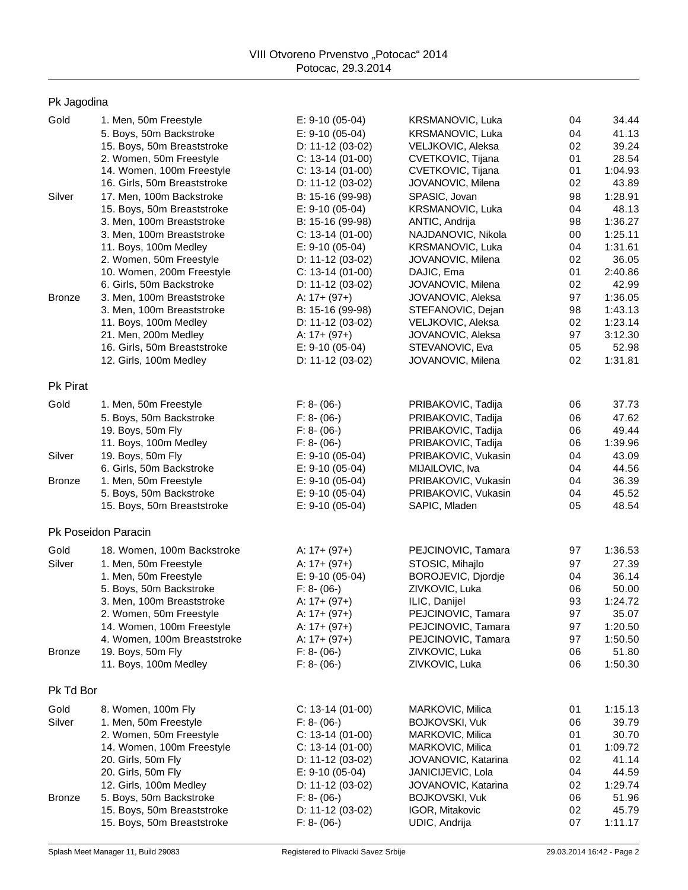| Pk Jagodina     |                                                        |                                      |                                          |          |                    |
|-----------------|--------------------------------------------------------|--------------------------------------|------------------------------------------|----------|--------------------|
| Gold            | 1. Men, 50m Freestyle                                  | $E: 9-10(05-04)$                     | KRSMANOVIC, Luka                         | 04       | 34.44              |
|                 | 5. Boys, 50m Backstroke                                | $E: 9-10(05-04)$                     | KRSMANOVIC, Luka                         | 04       | 41.13              |
|                 | 15. Boys, 50m Breaststroke                             | D: 11-12 (03-02)                     | VELJKOVIC, Aleksa                        | 02       | 39.24              |
|                 | 2. Women, 50m Freestyle                                | $C: 13-14(01-00)$                    | CVETKOVIC, Tijana                        | 01       | 28.54              |
|                 | 14. Women, 100m Freestyle                              | $C: 13-14(01-00)$                    | CVETKOVIC, Tijana                        | 01       | 1:04.93            |
|                 | 16. Girls, 50m Breaststroke                            | D: $11-12(03-02)$                    | JOVANOVIC, Milena                        | 02       | 43.89              |
| Silver          | 17. Men, 100m Backstroke                               | B: 15-16 (99-98)                     | SPASIC, Jovan                            | 98       | 1:28.91            |
|                 | 15. Boys, 50m Breaststroke                             | $E: 9-10(05-04)$                     | KRSMANOVIC, Luka                         | 04       | 48.13              |
|                 | 3. Men, 100m Breaststroke                              | B: 15-16 (99-98)                     | ANTIC, Andrija                           | 98       | 1:36.27            |
|                 | 3. Men, 100m Breaststroke                              | $C: 13-14(01-00)$                    | NAJDANOVIC, Nikola                       | 00       | 1:25.11            |
|                 | 11. Boys, 100m Medley                                  | $E: 9-10(05-04)$                     | KRSMANOVIC, Luka                         | 04       | 1:31.61            |
|                 | 2. Women, 50m Freestyle                                | D: $11-12(03-02)$                    | JOVANOVIC, Milena                        | 02       | 36.05              |
|                 | 10. Women, 200m Freestyle                              | $C: 13-14(01-00)$                    | DAJIC, Ema                               | 01<br>02 | 2:40.86            |
|                 | 6. Girls, 50m Backstroke                               | D: $11-12(03-02)$                    | JOVANOVIC, Milena                        |          | 42.99              |
| <b>Bronze</b>   | 3. Men, 100m Breaststroke<br>3. Men, 100m Breaststroke | A: $17 + (97+)$<br>B: 15-16 (99-98)  | JOVANOVIC, Aleksa<br>STEFANOVIC, Dejan   | 97<br>98 | 1:36.05<br>1:43.13 |
|                 | 11. Boys, 100m Medley                                  | D: 11-12 (03-02)                     | VELJKOVIC, Aleksa                        | 02       | 1:23.14            |
|                 | 21. Men, 200m Medley                                   | A: $17 + (97+)$                      | JOVANOVIC, Aleksa                        | 97       | 3:12.30            |
|                 | 16. Girls, 50m Breaststroke                            | $E: 9-10(05-04)$                     | STEVANOVIC, Eva                          | 05       | 52.98              |
|                 | 12. Girls, 100m Medley                                 | D: 11-12 (03-02)                     | JOVANOVIC, Milena                        | 02       | 1:31.81            |
| <b>Pk Pirat</b> |                                                        |                                      |                                          |          |                    |
| Gold            | 1. Men, 50m Freestyle                                  | $F: 8-(06-)$                         | PRIBAKOVIC, Tadija                       | 06       | 37.73              |
|                 | 5. Boys, 50m Backstroke                                | $F: 8-(06-)$                         | PRIBAKOVIC, Tadija                       | 06       | 47.62              |
|                 | 19. Boys, 50m Fly                                      | $F: 8-(06-)$                         | PRIBAKOVIC, Tadija                       | 06       | 49.44              |
|                 | 11. Boys, 100m Medley                                  | $F: 8-(06-)$                         | PRIBAKOVIC, Tadija                       | 06       | 1:39.96            |
| Silver          | 19. Boys, 50m Fly                                      | $E: 9-10(05-04)$                     | PRIBAKOVIC, Vukasin                      | 04       | 43.09              |
|                 | 6. Girls, 50m Backstroke                               | $E: 9-10(05-04)$                     | MIJAILOVIC, Iva                          | 04       | 44.56              |
| <b>Bronze</b>   | 1. Men, 50m Freestyle                                  | $E: 9-10(05-04)$                     | PRIBAKOVIC, Vukasin                      | 04       | 36.39              |
|                 | 5. Boys, 50m Backstroke                                | $E: 9-10(05-04)$                     | PRIBAKOVIC, Vukasin                      | 04       | 45.52              |
|                 | 15. Boys, 50m Breaststroke                             | $E: 9-10(05-04)$                     | SAPIC, Mladen                            | 05       | 48.54              |
|                 | Pk Poseidon Paracin                                    |                                      |                                          |          |                    |
| Gold            | 18. Women, 100m Backstroke                             | A: $17 + (97+)$                      | PEJCINOVIC, Tamara                       | 97       | 1:36.53            |
| Silver          | 1. Men, 50m Freestyle                                  | A: $17 + (97+)$                      | STOSIC, Mihajlo                          | 97       | 27.39              |
|                 | 1. Men, 50m Freestyle                                  | $E: 9-10(05-04)$                     | BOROJEVIC, Djordje                       | 04       | 36.14              |
|                 | 5. Boys, 50m Backstroke                                | $F: 8-(06-)$                         | ZIVKOVIC, Luka                           | 06       | 50.00              |
|                 | 3. Men, 100m Breaststroke                              | A: 17+ (97+)                         | ILIC, Danijel                            | 93       | <u>1:24.72</u>     |
|                 | 2. Women, 50m Freestyle                                | A: $17 + (97+)$                      | PEJCINOVIC, Tamara                       | 97       | 35.07              |
|                 | 14. Women, 100m Freestyle                              | A: $17 + (97+)$                      | PEJCINOVIC, Tamara                       | 97       | 1:20.50            |
|                 | 4. Women, 100m Breaststroke                            | A: $17 + (97+)$                      | PEJCINOVIC, Tamara                       | 97       | 1:50.50            |
| <b>Bronze</b>   | 19. Boys, 50m Fly<br>11. Boys, 100m Medley             | $F: 8-(06-)$<br>$F: 8-(06-)$         | ZIVKOVIC, Luka<br>ZIVKOVIC, Luka         | 06<br>06 | 51.80<br>1:50.30   |
| Pk Td Bor       |                                                        |                                      |                                          |          |                    |
|                 |                                                        |                                      |                                          |          |                    |
| Gold            | 8. Women, 100m Fly                                     | $C: 13-14(01-00)$                    | MARKOVIC, Milica                         | 01       | 1:15.13            |
| Silver          | 1. Men, 50m Freestyle                                  | $F: 8-(06-)$                         | BOJKOVSKI, Vuk                           | 06       | 39.79              |
|                 | 2. Women, 50m Freestyle                                | $C: 13-14(01-00)$                    | MARKOVIC, Milica                         | 01       | 30.70              |
|                 | 14. Women, 100m Freestyle                              | $C: 13-14(01-00)$                    | MARKOVIC, Milica                         | 01       | 1:09.72            |
|                 | 20. Girls, 50m Fly<br>20. Girls, 50m Fly               | D: 11-12 (03-02)<br>$E: 9-10(05-04)$ | JOVANOVIC, Katarina<br>JANICIJEVIC, Lola | 02<br>04 | 41.14<br>44.59     |
|                 | 12. Girls, 100m Medley                                 | D: $11-12(03-02)$                    | JOVANOVIC, Katarina                      | 02       | 1:29.74            |
| <b>Bronze</b>   | 5. Boys, 50m Backstroke                                | $F: 8-(06-)$                         | <b>BOJKOVSKI, Vuk</b>                    | 06       | 51.96              |
|                 | 15. Boys, 50m Breaststroke                             | D: 11-12 (03-02)                     | IGOR, Mitakovic                          | 02       | 45.79              |
|                 | 15. Boys, 50m Breaststroke                             | $F: 8-(06-)$                         | UDIC, Andrija                            | 07       | 1:11.17            |
|                 |                                                        |                                      |                                          |          |                    |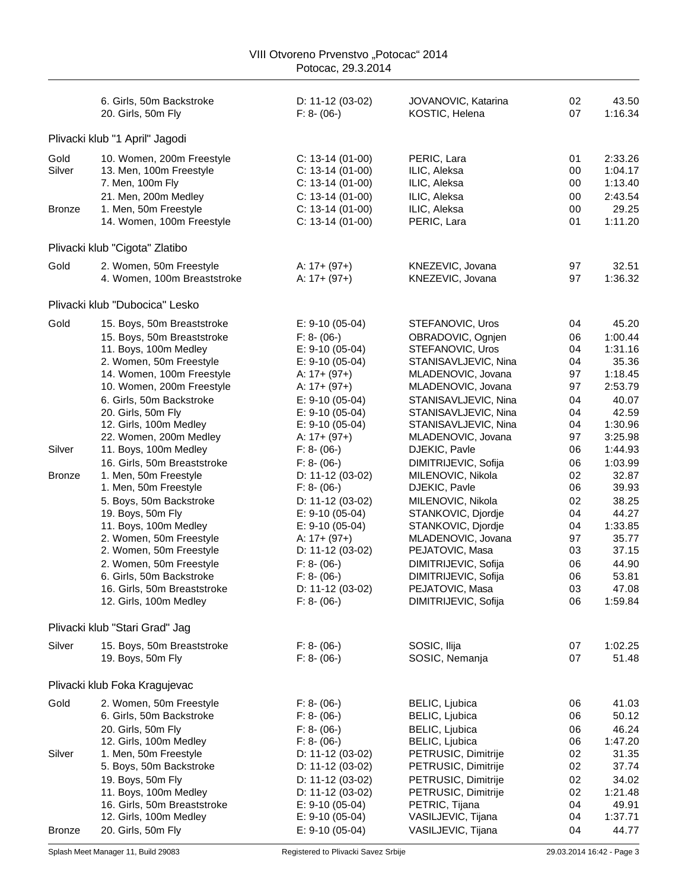|                                 |                                                                                                                                                                                                                                                                                                                                                                                                                                                                                                                                                                                                                                       | Potocac, 29.3.2014                                                                                                                                                                                                                                                                                                                                                                                                                       |                                                                                                                                                                                                                                                                                                                                                                                                                                                                                                                 |                                                                                                                                        |                                                                                                                                                                                                                                 |
|---------------------------------|---------------------------------------------------------------------------------------------------------------------------------------------------------------------------------------------------------------------------------------------------------------------------------------------------------------------------------------------------------------------------------------------------------------------------------------------------------------------------------------------------------------------------------------------------------------------------------------------------------------------------------------|------------------------------------------------------------------------------------------------------------------------------------------------------------------------------------------------------------------------------------------------------------------------------------------------------------------------------------------------------------------------------------------------------------------------------------------|-----------------------------------------------------------------------------------------------------------------------------------------------------------------------------------------------------------------------------------------------------------------------------------------------------------------------------------------------------------------------------------------------------------------------------------------------------------------------------------------------------------------|----------------------------------------------------------------------------------------------------------------------------------------|---------------------------------------------------------------------------------------------------------------------------------------------------------------------------------------------------------------------------------|
|                                 | 6. Girls, 50m Backstroke<br>20. Girls, 50m Fly                                                                                                                                                                                                                                                                                                                                                                                                                                                                                                                                                                                        | D: 11-12 (03-02)<br>$F: 8-(06-)$                                                                                                                                                                                                                                                                                                                                                                                                         | JOVANOVIC, Katarina<br>KOSTIC, Helena                                                                                                                                                                                                                                                                                                                                                                                                                                                                           | 02<br>07                                                                                                                               | 43.50<br>1:16.34                                                                                                                                                                                                                |
|                                 | Plivacki klub "1 April" Jagodi                                                                                                                                                                                                                                                                                                                                                                                                                                                                                                                                                                                                        |                                                                                                                                                                                                                                                                                                                                                                                                                                          |                                                                                                                                                                                                                                                                                                                                                                                                                                                                                                                 |                                                                                                                                        |                                                                                                                                                                                                                                 |
| Gold<br>Silver<br><b>Bronze</b> | 10. Women, 200m Freestyle<br>13. Men, 100m Freestyle<br>7. Men, 100m Fly<br>21. Men, 200m Medley<br>1. Men, 50m Freestyle                                                                                                                                                                                                                                                                                                                                                                                                                                                                                                             | $C: 13-14(01-00)$<br>$C: 13-14(01-00)$<br>$C: 13-14(01-00)$<br>$C: 13-14(01-00)$<br>$C: 13-14(01-00)$                                                                                                                                                                                                                                                                                                                                    | PERIC, Lara<br>ILIC, Aleksa<br>ILIC, Aleksa<br>ILIC, Aleksa<br>ILIC, Aleksa                                                                                                                                                                                                                                                                                                                                                                                                                                     | 01<br>00<br>00<br>00<br>00                                                                                                             | 2:33.26<br>1:04.17<br>1:13.40<br>2:43.54<br>29.25                                                                                                                                                                               |
|                                 | 14. Women, 100m Freestyle                                                                                                                                                                                                                                                                                                                                                                                                                                                                                                                                                                                                             | $C: 13-14(01-00)$                                                                                                                                                                                                                                                                                                                                                                                                                        | PERIC, Lara                                                                                                                                                                                                                                                                                                                                                                                                                                                                                                     | 01                                                                                                                                     | 1:11.20                                                                                                                                                                                                                         |
|                                 | Plivacki klub "Cigota" Zlatibo                                                                                                                                                                                                                                                                                                                                                                                                                                                                                                                                                                                                        |                                                                                                                                                                                                                                                                                                                                                                                                                                          |                                                                                                                                                                                                                                                                                                                                                                                                                                                                                                                 |                                                                                                                                        |                                                                                                                                                                                                                                 |
| Gold                            | 2. Women, 50m Freestyle<br>4. Women, 100m Breaststroke                                                                                                                                                                                                                                                                                                                                                                                                                                                                                                                                                                                | A: $17 + (97+)$<br>A: $17 + (97+)$                                                                                                                                                                                                                                                                                                                                                                                                       | KNEZEVIC, Jovana<br>KNEZEVIC, Jovana                                                                                                                                                                                                                                                                                                                                                                                                                                                                            | 97<br>97                                                                                                                               | 32.51<br>1:36.32                                                                                                                                                                                                                |
|                                 | Plivacki klub "Dubocica" Lesko                                                                                                                                                                                                                                                                                                                                                                                                                                                                                                                                                                                                        |                                                                                                                                                                                                                                                                                                                                                                                                                                          |                                                                                                                                                                                                                                                                                                                                                                                                                                                                                                                 |                                                                                                                                        |                                                                                                                                                                                                                                 |
| Gold<br>Silver<br><b>Bronze</b> | 15. Boys, 50m Breaststroke<br>15. Boys, 50m Breaststroke<br>11. Boys, 100m Medley<br>2. Women, 50m Freestyle<br>14. Women, 100m Freestyle<br>10. Women, 200m Freestyle<br>6. Girls, 50m Backstroke<br>20. Girls, 50m Fly<br>12. Girls, 100m Medley<br>22. Women, 200m Medley<br>11. Boys, 100m Medley<br>16. Girls, 50m Breaststroke<br>1. Men, 50m Freestyle<br>1. Men, 50m Freestyle<br>5. Boys, 50m Backstroke<br>19. Boys, 50m Fly<br>11. Boys, 100m Medley<br>2. Women, 50m Freestyle<br>2. Women, 50m Freestyle<br>2. Women, 50m Freestyle<br>6. Girls, 50m Backstroke<br>16. Girls, 50m Breaststroke<br>12. Girls, 100m Medley | $E: 9-10(05-04)$<br>$F: 8-(06-)$<br>$E: 9-10(05-04)$<br>$E: 9-10(05-04)$<br>A: $17 + (97+)$<br>A: $17 + (97+)$<br>$E: 9-10(05-04)$<br>$E: 9-10(05-04)$<br>$E: 9-10(05-04)$<br>A: $17 + (97+)$<br>$F: 8-(06-)$<br>$F: 8-(06-)$<br>D: 11-12 (03-02)<br>$F: 8-(06-)$<br>D: 11-12 (03-02)<br>$E: 9-10(05-04)$<br>$E: 9-10(05-04)$<br>A: $17 + (97+)$<br>D: 11-12 (03-02)<br>$F: 8-(06-)$<br>$F: 8-(06-)$<br>D: 11-12 (03-02)<br>$F: 8-(06-)$ | STEFANOVIC, Uros<br>OBRADOVIC, Ognjen<br>STEFANOVIC, Uros<br>STANISAVLJEVIC, Nina<br>MLADENOVIC, Jovana<br>MLADENOVIC, Jovana<br>STANISAVLJEVIC, Nina<br>STANISAVLJEVIC, Nina<br>STANISAVLJEVIC, Nina<br>MLADENOVIC, Jovana<br>DJEKIC, Pavle<br>DIMITRIJEVIC, Sofija<br>MILENOVIC, Nikola<br>DJEKIC, Pavle<br>MILENOVIC, Nikola<br>STANKOVIC, Djordje<br>STANKOVIC, Djordje<br>MLADENOVIC, Jovana<br>PEJATOVIC, Masa<br>DIMITRIJEVIC, Sofija<br>DIMITRIJEVIC, Sofija<br>PEJATOVIC, Masa<br>DIMITRIJEVIC, Sofija | 04<br>06<br>04<br>04<br>97<br>97<br>04<br>04<br>04<br>97<br>06<br>06<br>02<br>06<br>02<br>04<br>04<br>97<br>03<br>06<br>06<br>03<br>06 | 45.20<br>1:00.44<br>1:31.16<br>35.36<br>1:18.45<br>2:53.79<br>40.07<br>42.59<br>1:30.96<br>3:25.98<br>1:44.93<br>1:03.99<br>32.87<br>39.93<br>38.25<br>44.27<br>1:33.85<br>35.77<br>37.15<br>44.90<br>53.81<br>47.08<br>1:59.84 |
|                                 | Plivacki klub "Stari Grad" Jag                                                                                                                                                                                                                                                                                                                                                                                                                                                                                                                                                                                                        |                                                                                                                                                                                                                                                                                                                                                                                                                                          |                                                                                                                                                                                                                                                                                                                                                                                                                                                                                                                 |                                                                                                                                        |                                                                                                                                                                                                                                 |
| Silver                          | 15. Boys, 50m Breaststroke<br>19. Boys, 50m Fly                                                                                                                                                                                                                                                                                                                                                                                                                                                                                                                                                                                       | $F: 8-(06-)$<br>$F: 8-(06-)$                                                                                                                                                                                                                                                                                                                                                                                                             | SOSIC, Ilija<br>SOSIC, Nemanja                                                                                                                                                                                                                                                                                                                                                                                                                                                                                  | 07<br>07                                                                                                                               | 1:02.25<br>51.48                                                                                                                                                                                                                |
|                                 | Plivacki klub Foka Kragujevac                                                                                                                                                                                                                                                                                                                                                                                                                                                                                                                                                                                                         |                                                                                                                                                                                                                                                                                                                                                                                                                                          |                                                                                                                                                                                                                                                                                                                                                                                                                                                                                                                 |                                                                                                                                        |                                                                                                                                                                                                                                 |
| Gold<br>Silver                  | 2. Women, 50m Freestyle<br>6. Girls, 50m Backstroke<br>20. Girls, 50m Fly<br>12. Girls, 100m Medley<br>1. Men, 50m Freestyle<br>5. Boys, 50m Backstroke<br>19. Boys, 50m Fly<br>11. Boys, 100m Medley                                                                                                                                                                                                                                                                                                                                                                                                                                 | $F: 8-(06-)$<br>$F: 8-(06-)$<br>$F: 8-(06-)$<br>$F: 8-(06-)$<br>D: 11-12 (03-02)<br>D: 11-12 (03-02)<br>D: $11-12(03-02)$<br>D: 11-12 (03-02)                                                                                                                                                                                                                                                                                            | BELIC, Ljubica<br>BELIC, Ljubica<br>BELIC, Ljubica<br>BELIC, Ljubica<br>PETRUSIC, Dimitrije<br>PETRUSIC, Dimitrije<br>PETRUSIC, Dimitrije<br>PETRUSIC, Dimitrije                                                                                                                                                                                                                                                                                                                                                | 06<br>06<br>06<br>06<br>02<br>02<br>02<br>02                                                                                           | 41.03<br>50.12<br>46.24<br>1:47.20<br>31.35<br>37.74<br>34.02<br>1:21.48                                                                                                                                                        |
|                                 | 16. Girls, 50m Breaststroke<br>12. Girls, 100m Medley                                                                                                                                                                                                                                                                                                                                                                                                                                                                                                                                                                                 | $E: 9-10(05-04)$<br>$E: 9-10(05-04)$                                                                                                                                                                                                                                                                                                                                                                                                     | PETRIC, Tijana<br>VASILJEVIC, Tijana                                                                                                                                                                                                                                                                                                                                                                                                                                                                            | 04<br>04                                                                                                                               | 49.91<br>1:37.71                                                                                                                                                                                                                |
| <b>Bronze</b>                   | 20. Girls, 50m Fly                                                                                                                                                                                                                                                                                                                                                                                                                                                                                                                                                                                                                    | $E: 9-10(05-04)$                                                                                                                                                                                                                                                                                                                                                                                                                         | VASILJEVIC, Tijana                                                                                                                                                                                                                                                                                                                                                                                                                                                                                              | 04                                                                                                                                     | 44.77                                                                                                                                                                                                                           |